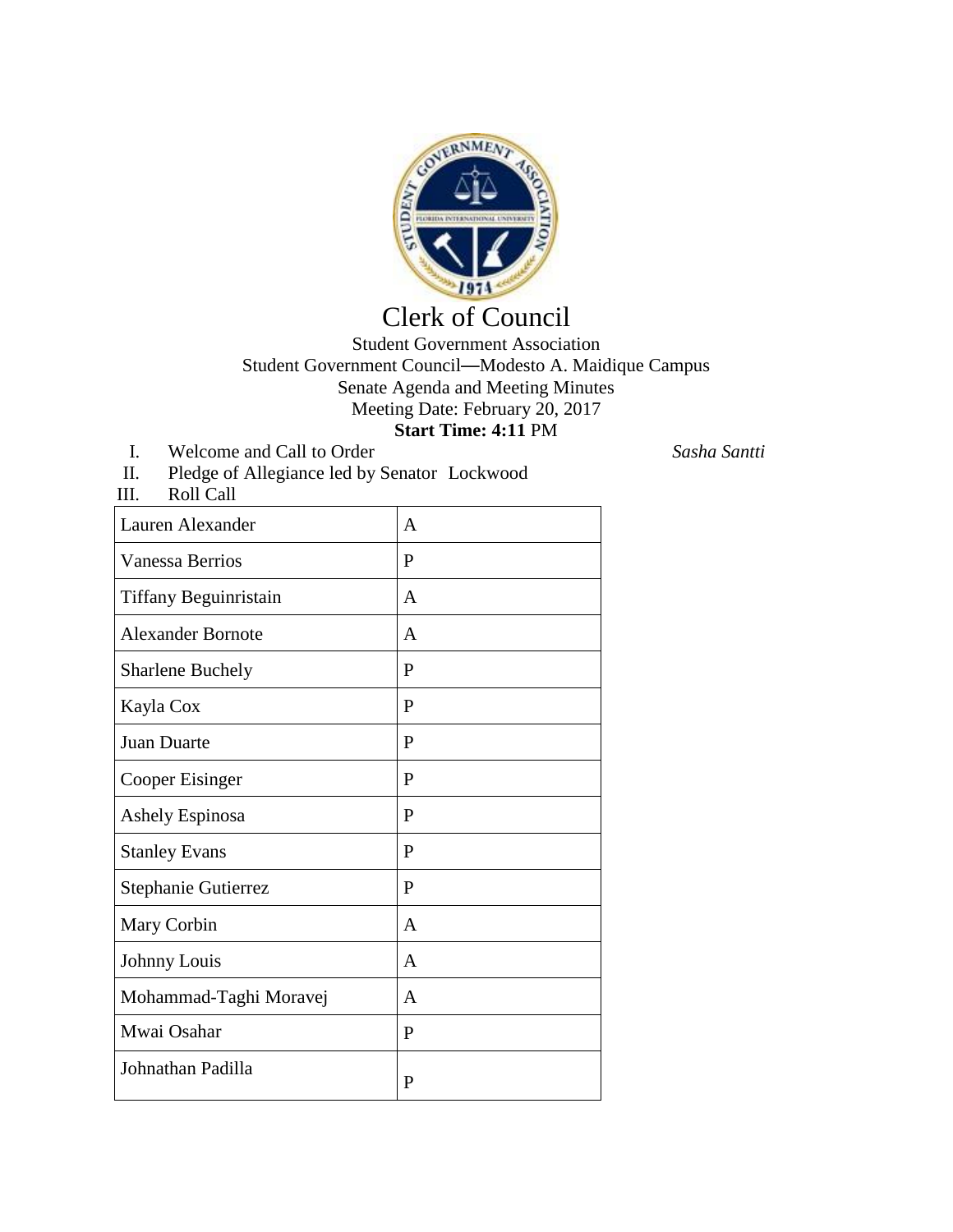

## Clerk of Council

## Student Government Association Student Government Council—Modesto A. Maidique Campus Senate Agenda and Meeting Minutes Meeting Date: February 20, 2017 **Start Time: 4:11** PM

- I. Welcome and Call to Order *Sasha Santti*
- II. Pledge of Allegiance led by Senator Lockwood

| Roll Call<br>III.        |              |
|--------------------------|--------------|
| Lauren Alexander         | $\mathsf{A}$ |
| <b>Vanessa Berrios</b>   | P            |
| Tiffany Beguinristain    | A            |
| <b>Alexander Bornote</b> | $\mathsf{A}$ |
| <b>Sharlene Buchely</b>  | $\mathbf{P}$ |
| Kayla Cox                | P            |
| Juan Duarte              | P            |
| Cooper Eisinger          | P            |
| Ashely Espinosa          | P            |
| <b>Stanley Evans</b>     | P            |
| Stephanie Gutierrez      | $\mathbf{P}$ |
| Mary Corbin              | A            |
| Johnny Louis             | $\mathsf{A}$ |
| Mohammad-Taghi Moravej   | $\mathsf{A}$ |
| Mwai Osahar              | P            |
| Johnathan Padilla        | P            |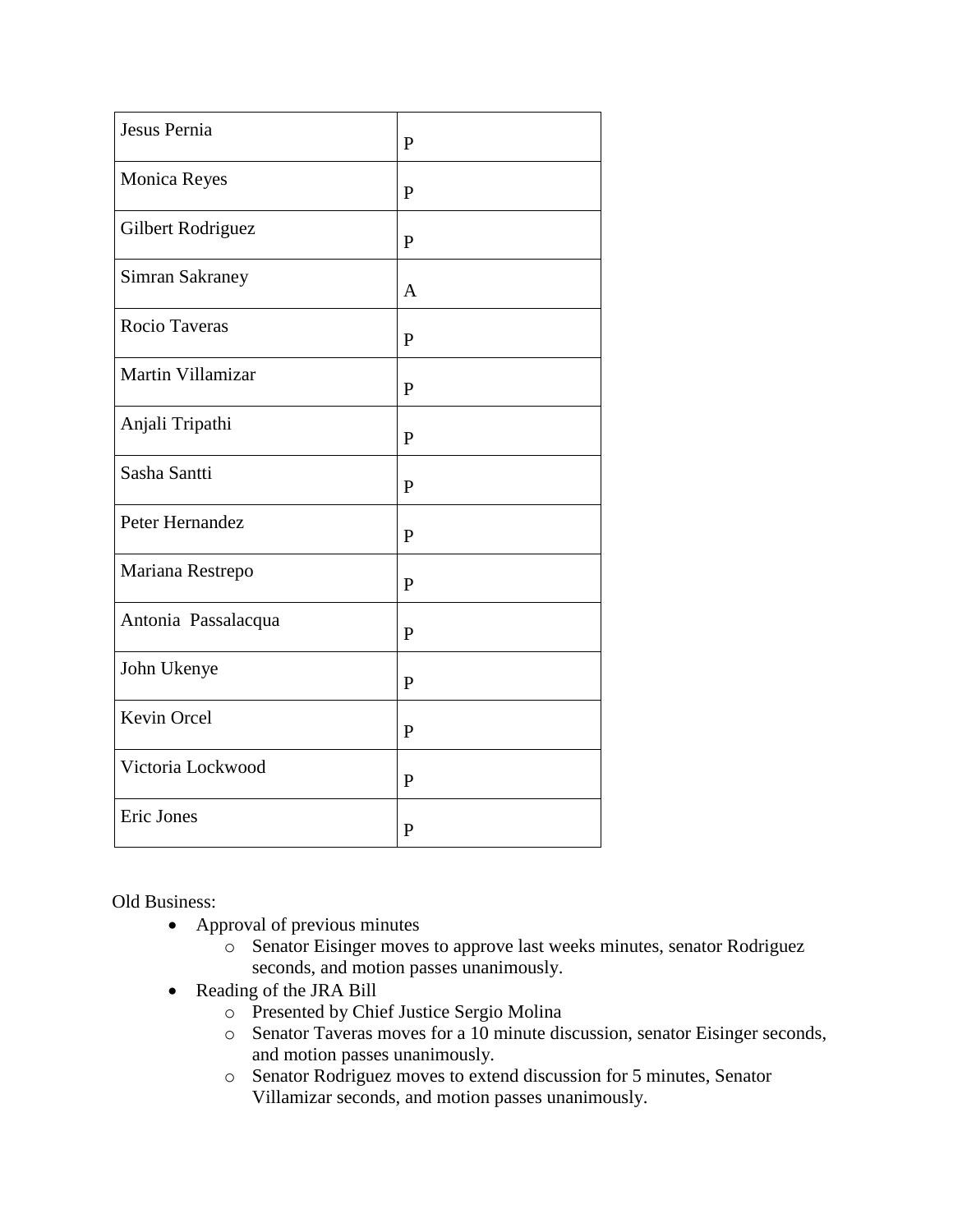| Jesus Pernia           |                |
|------------------------|----------------|
|                        | $\mathbf{P}$   |
| Monica Reyes           | $\mathbf{P}$   |
| Gilbert Rodriguez      | $\mathbf{P}$   |
| <b>Simran Sakraney</b> | $\overline{A}$ |
| Rocio Taveras          | P              |
| Martin Villamizar      | ${\bf P}$      |
| Anjali Tripathi        | $\mathbf{P}$   |
| Sasha Santti           | P              |
| Peter Hernandez        | P              |
| Mariana Restrepo       | P              |
| Antonia Passalacqua    | $\mathbf{P}$   |
| John Ukenye            | $\mathbf{P}$   |
| Kevin Orcel            | $\mathbf{P}$   |
| Victoria Lockwood      | $\mathbf{P}$   |
| Eric Jones             | $\mathbf{P}$   |

Old Business:

- Approval of previous minutes
	- o Senator Eisinger moves to approve last weeks minutes, senator Rodriguez seconds, and motion passes unanimously.
- Reading of the JRA Bill
	- o Presented by Chief Justice Sergio Molina
	- o Senator Taveras moves for a 10 minute discussion, senator Eisinger seconds, and motion passes unanimously.
	- o Senator Rodriguez moves to extend discussion for 5 minutes, Senator Villamizar seconds, and motion passes unanimously.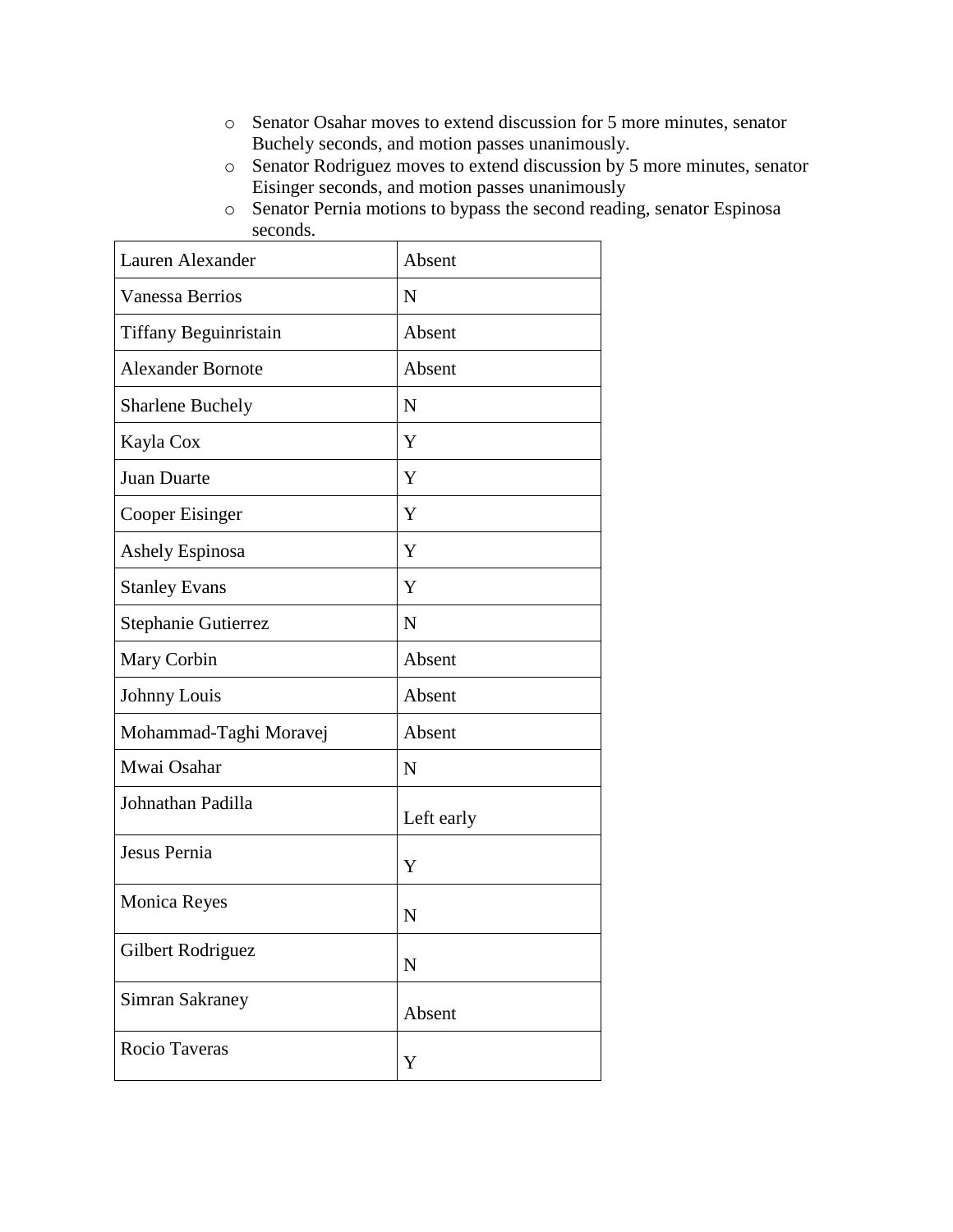- o Senator Osahar moves to extend discussion for 5 more minutes, senator Buchely seconds, and motion passes unanimously.
- o Senator Rodriguez moves to extend discussion by 5 more minutes, senator Eisinger seconds, and motion passes unanimously
- o Senator Pernia motions to bypass the second reading, senator Espinosa seconds.

| Lauren Alexander         | Absent      |
|--------------------------|-------------|
| <b>Vanessa Berrios</b>   | N           |
| Tiffany Beguinristain    | Absent      |
| <b>Alexander Bornote</b> | Absent      |
| <b>Sharlene Buchely</b>  | N           |
| Kayla Cox                | Y           |
| <b>Juan Duarte</b>       | Y           |
| Cooper Eisinger          | Y           |
| Ashely Espinosa          | Y           |
| <b>Stanley Evans</b>     | Y           |
| Stephanie Gutierrez      | N           |
| Mary Corbin              | Absent      |
| Johnny Louis             | Absent      |
| Mohammad-Taghi Moravej   | Absent      |
| Mwai Osahar              | N           |
| Johnathan Padilla        | Left early  |
| Jesus Pernia             | Y           |
| <b>Monica Reyes</b>      | N           |
| Gilbert Rodriguez        | $\mathbf N$ |
| Simran Sakraney          | Absent      |
| Rocio Taveras            | Y           |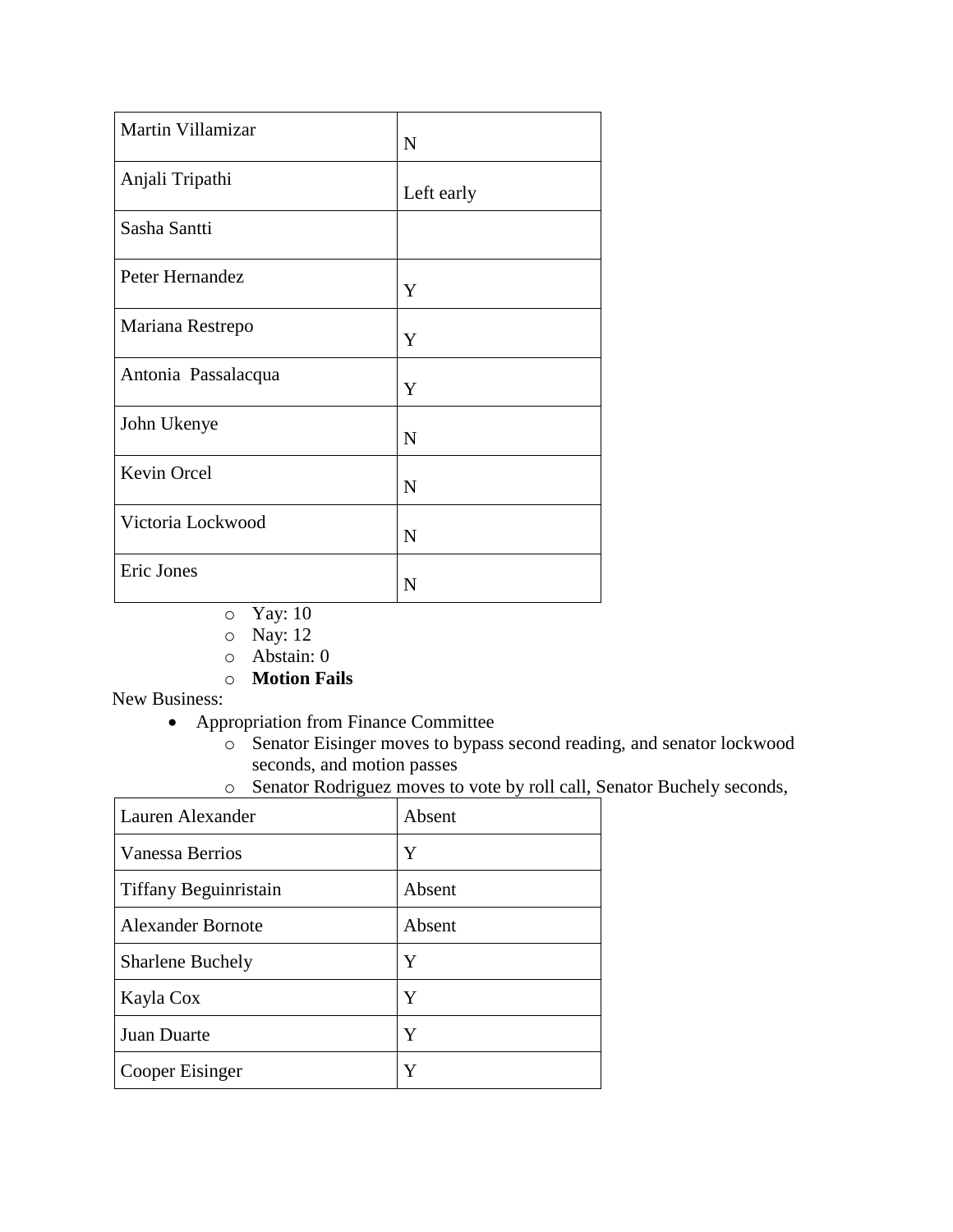| Martin Villamizar   | $\mathbf N$ |
|---------------------|-------------|
| Anjali Tripathi     | Left early  |
| Sasha Santti        |             |
| Peter Hernandez     | Y           |
| Mariana Restrepo    | Y           |
| Antonia Passalacqua | Y           |
| John Ukenye         | $\mathbf N$ |
| Kevin Orcel         | N           |
| Victoria Lockwood   | $\mathbf N$ |
| Eric Jones          | N           |

- o Yay: 10
- o Nay: 12
- o Abstain: 0
- o **Motion Fails**

New Business:

- Appropriation from Finance Committee
	- o Senator Eisinger moves to bypass second reading, and senator lockwood seconds, and motion passes
	- o Senator Rodriguez moves to vote by roll call, Senator Buchely seconds,

| Lauren Alexander         | Absent |
|--------------------------|--------|
| <b>Vanessa Berrios</b>   | Y      |
| Tiffany Beguinristain    | Absent |
| <b>Alexander Bornote</b> | Absent |
| <b>Sharlene Buchely</b>  | Y      |
| Kayla Cox                | Y      |
| Juan Duarte              | Y      |
| Cooper Eisinger          | Y      |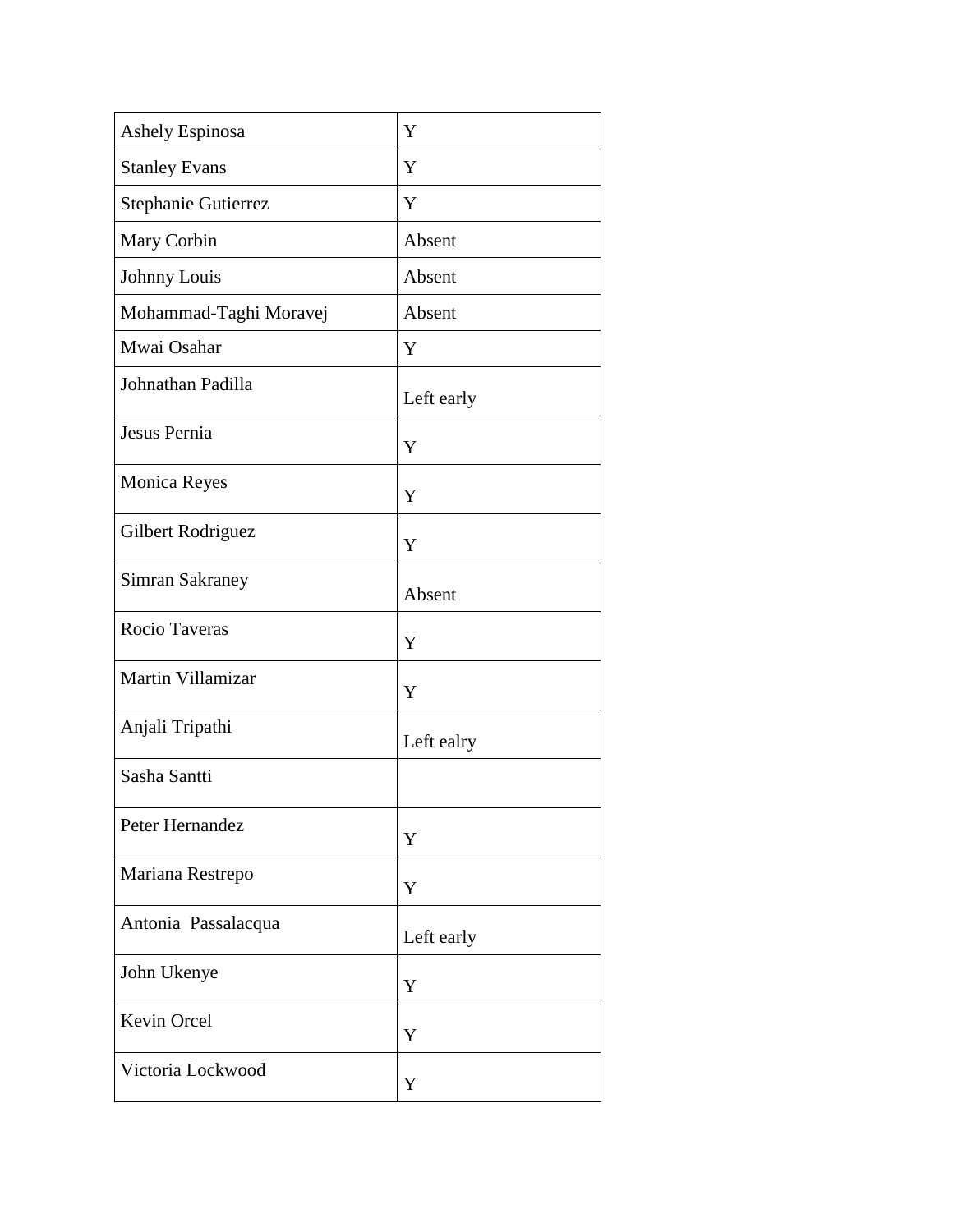| <b>Ashely Espinosa</b> | Y          |
|------------------------|------------|
| <b>Stanley Evans</b>   | Y          |
| Stephanie Gutierrez    | Y          |
| Mary Corbin            | Absent     |
| Johnny Louis           | Absent     |
| Mohammad-Taghi Moravej | Absent     |
| Mwai Osahar            | Y          |
| Johnathan Padilla      | Left early |
| Jesus Pernia           | Y          |
| Monica Reyes           | Y          |
| Gilbert Rodriguez      | Y          |
| Simran Sakraney        | Absent     |
| Rocio Taveras          | Y          |
| Martin Villamizar      | Y          |
| Anjali Tripathi        | Left ealry |
| Sasha Santti           |            |
| Peter Hernandez        | Y          |
| Mariana Restrepo       | Y          |
| Antonia Passalacqua    | Left early |
| John Ukenye            | Y          |
| Kevin Orcel            | Y          |
| Victoria Lockwood      | Y          |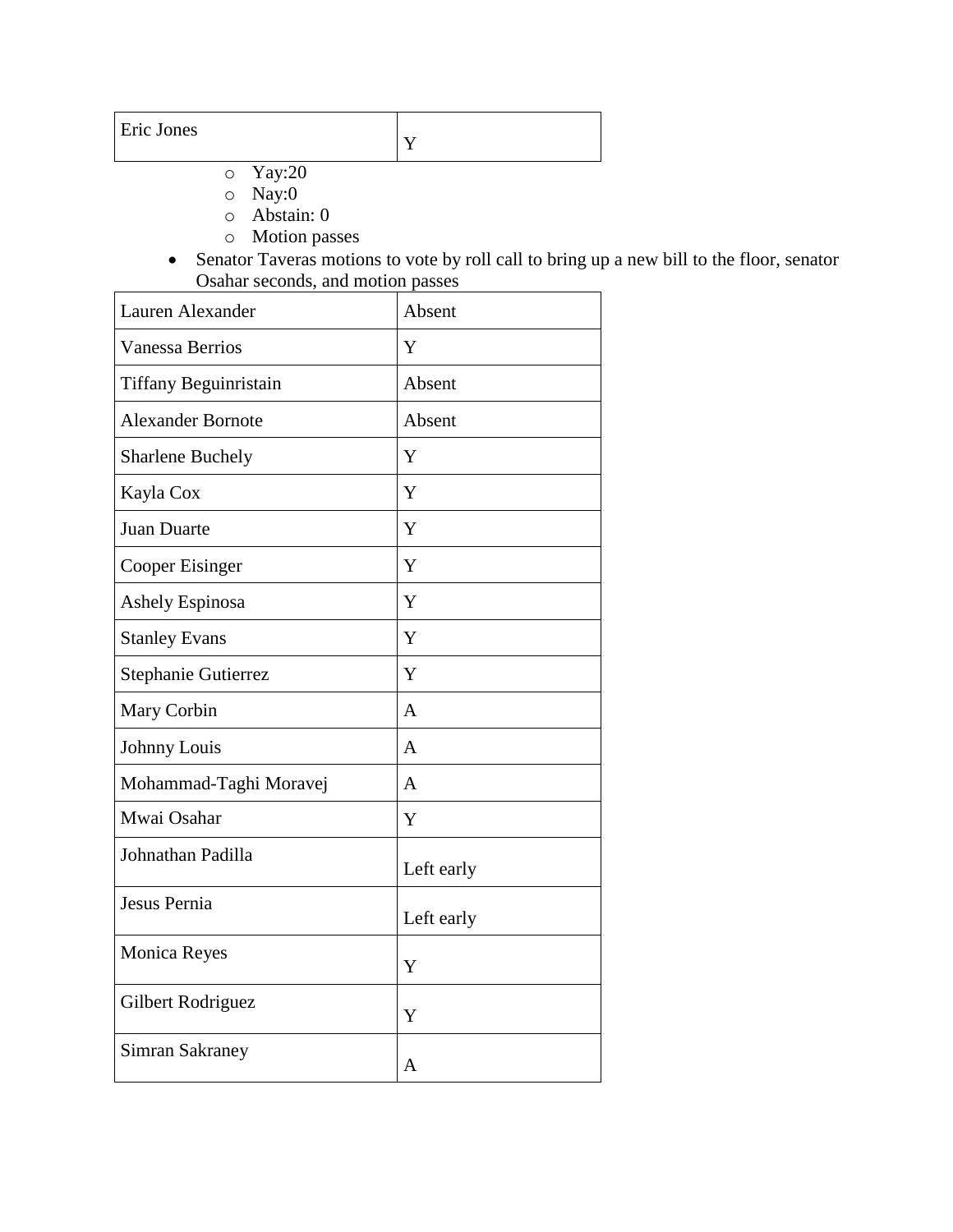| Eric Jones |  |
|------------|--|
|------------|--|

- o Yay:20
- o Nay:0
- o Abstain: 0
- o Motion passes
- Senator Taveras motions to vote by roll call to bring up a new bill to the floor, senator Osahar seconds, and motion passes

| Lauren Alexander         | Absent         |
|--------------------------|----------------|
| <b>Vanessa Berrios</b>   | Y              |
| Tiffany Beguinristain    | Absent         |
| <b>Alexander Bornote</b> | Absent         |
| <b>Sharlene Buchely</b>  | Y              |
| Kayla Cox                | Y              |
| <b>Juan Duarte</b>       | Y              |
| Cooper Eisinger          | Y              |
| <b>Ashely Espinosa</b>   | Y              |
| <b>Stanley Evans</b>     | Y              |
| Stephanie Gutierrez      | Y              |
| Mary Corbin              | $\overline{A}$ |
| Johnny Louis             | A              |
| Mohammad-Taghi Moravej   | $\mathsf{A}$   |
| Mwai Osahar              | Y              |
| Johnathan Padilla        | Left early     |
| Jesus Pernia             | Left early     |
| Monica Reyes             | Y              |
| Gilbert Rodriguez        | Y              |
| <b>Simran Sakraney</b>   | A              |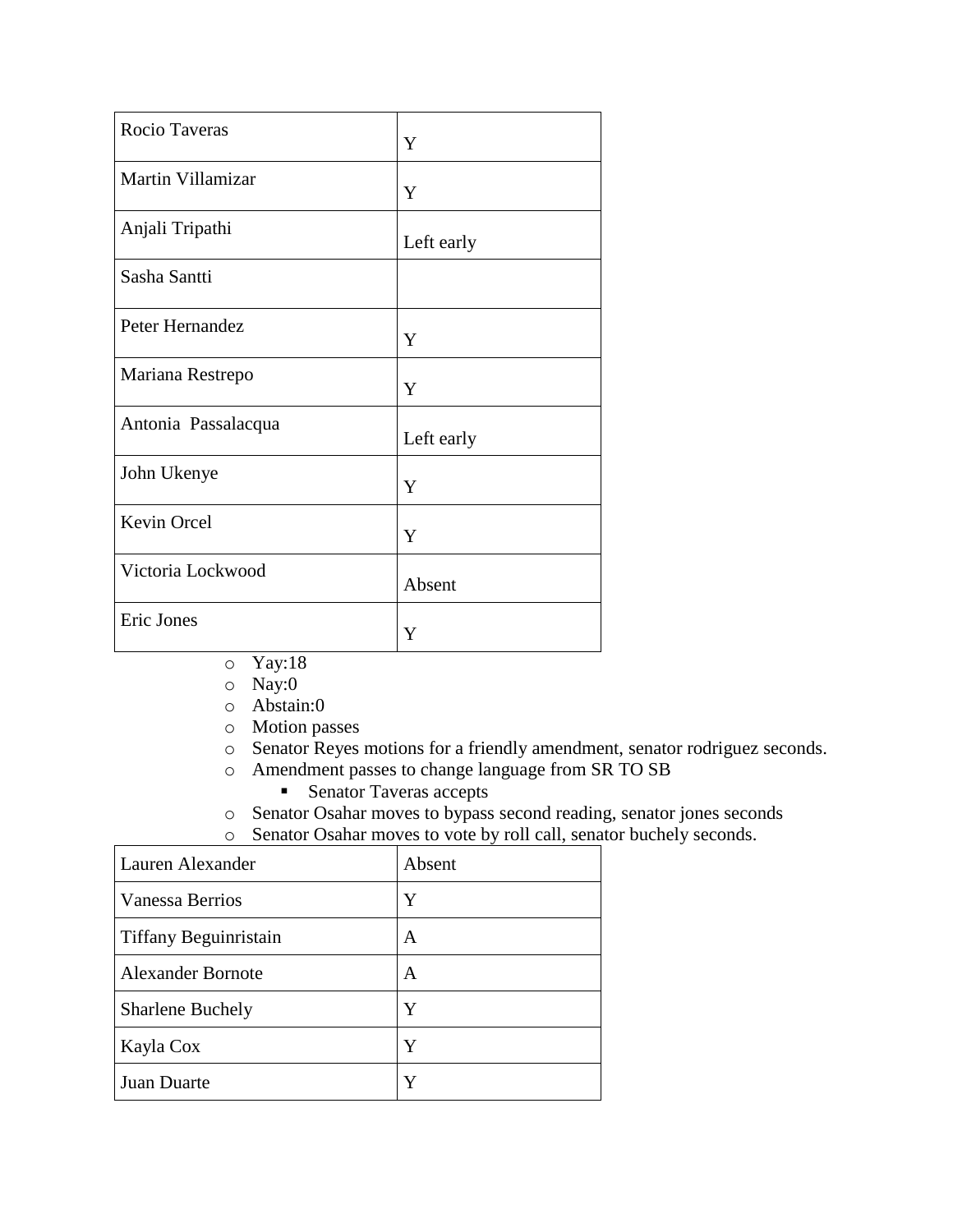| Rocio Taveras       | Y          |
|---------------------|------------|
| Martin Villamizar   | Y          |
| Anjali Tripathi     | Left early |
| Sasha Santti        |            |
| Peter Hernandez     | Y          |
| Mariana Restrepo    | Y          |
| Antonia Passalacqua | Left early |
| John Ukenye         | Y          |
| Kevin Orcel         | Y          |
| Victoria Lockwood   | Absent     |
| Eric Jones          | Y          |

- o Yay:18
- o Nay:0
- o Abstain:0
- o Motion passes
- o Senator Reyes motions for a friendly amendment, senator rodriguez seconds.
- o Amendment passes to change language from SR TO SB **Senator Taveras accepts**
- o Senator Osahar moves to bypass second reading, senator jones seconds
- o Senator Osahar moves to vote by roll call, senator buchely seconds.

| Lauren Alexander         | Absent |
|--------------------------|--------|
| Vanessa Berrios          | Y      |
| Tiffany Beguinristain    | A      |
| <b>Alexander Bornote</b> | A      |
| <b>Sharlene Buchely</b>  | Y      |
| Kayla Cox                | Y      |
| Juan Duarte              | Y      |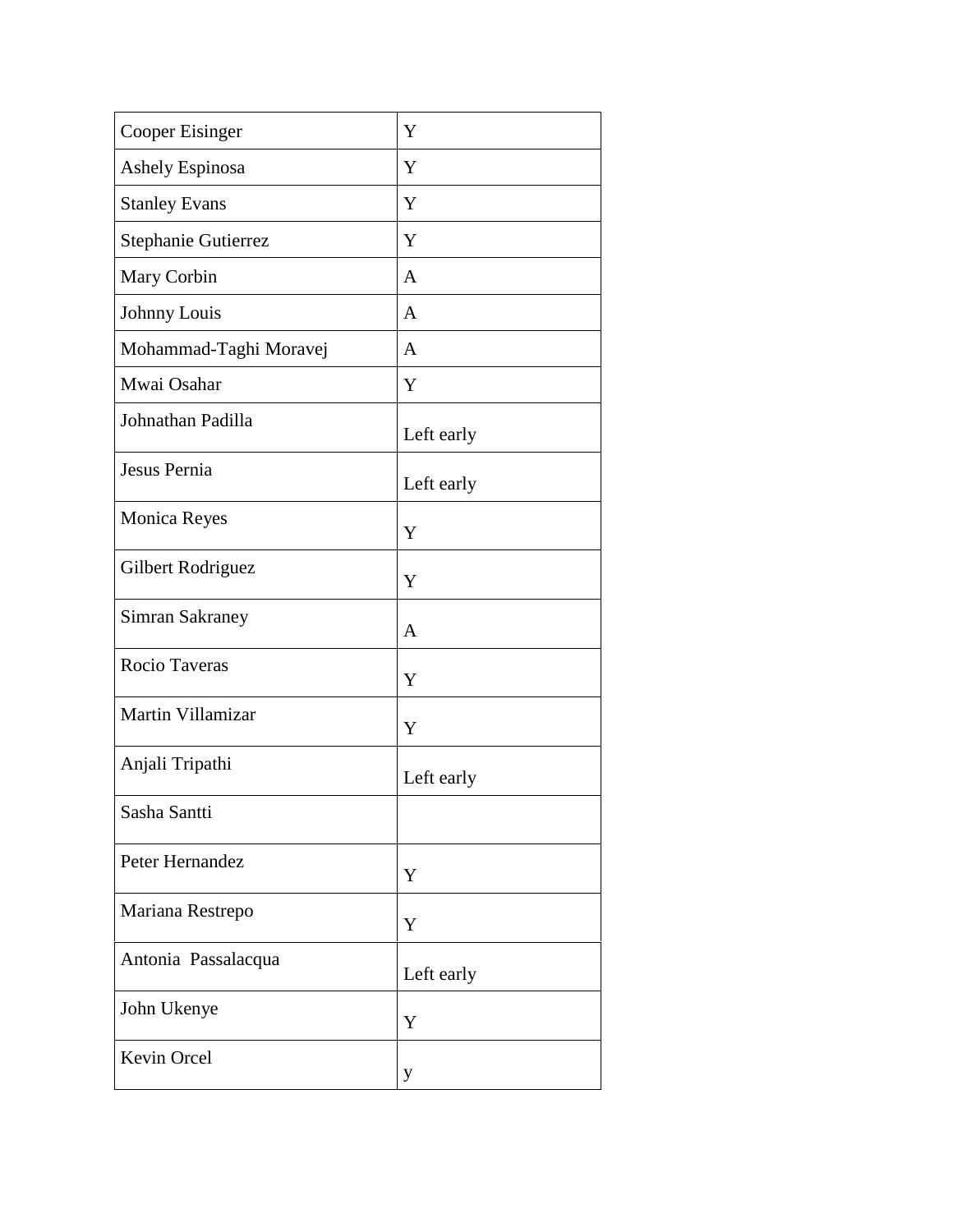| <b>Cooper Eisinger</b> | Y            |
|------------------------|--------------|
| Ashely Espinosa        | Y            |
| <b>Stanley Evans</b>   | Y            |
| Stephanie Gutierrez    | Y            |
| Mary Corbin            | $\mathbf{A}$ |
| Johnny Louis           | $\mathbf{A}$ |
| Mohammad-Taghi Moravej | $\mathbf{A}$ |
| Mwai Osahar            | Y            |
| Johnathan Padilla      | Left early   |
| Jesus Pernia           | Left early   |
| Monica Reyes           | Y            |
| Gilbert Rodriguez      | Y            |
| Simran Sakraney        | $\mathbf{A}$ |
| Rocio Taveras          | Y            |
| Martin Villamizar      | Y            |
| Anjali Tripathi        | Left early   |
| Sasha Santti           |              |
| Peter Hernandez        | Y            |
| Mariana Restrepo       | Y            |
| Antonia Passalacqua    | Left early   |
| John Ukenye            | Y            |
| Kevin Orcel            | y            |